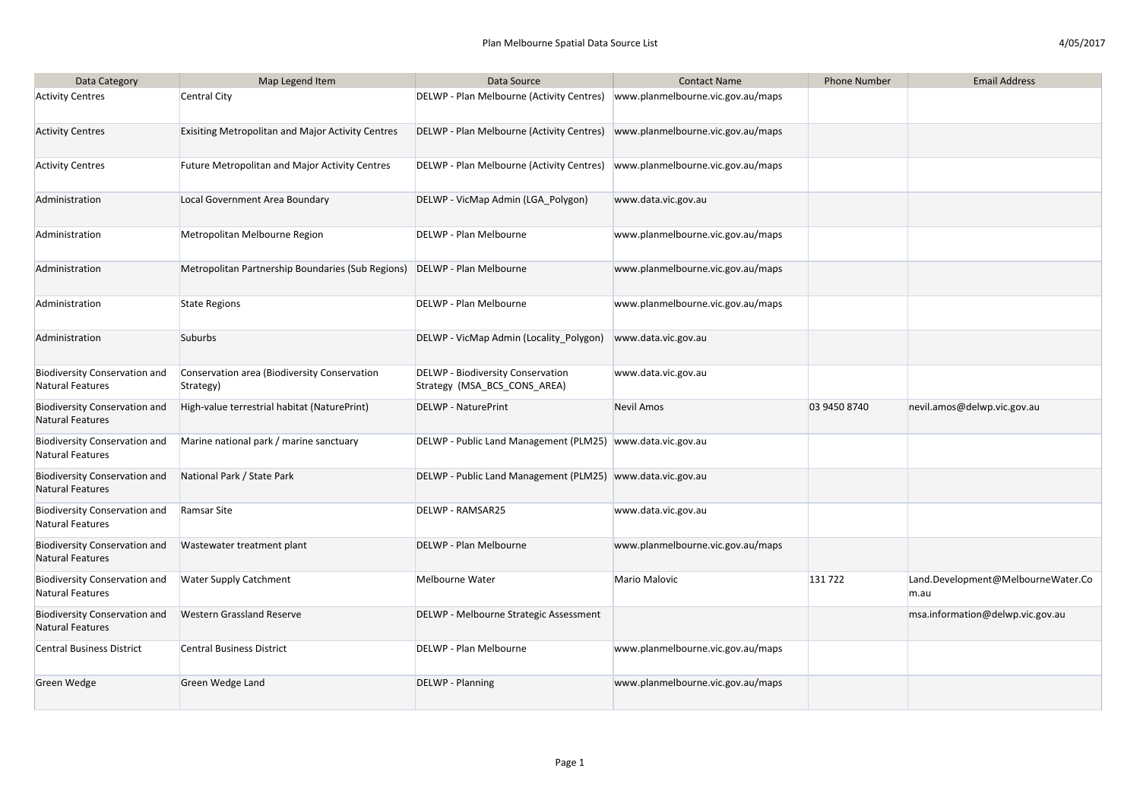| 4/05/2017 |
|-----------|
|-----------|

| Data Category                                                   | Map Legend Item                                           | Data Source                                                                   | <b>Contact Name</b>               | <b>Phone Number</b> | <b>Email Address</b>                       |
|-----------------------------------------------------------------|-----------------------------------------------------------|-------------------------------------------------------------------------------|-----------------------------------|---------------------|--------------------------------------------|
| <b>Activity Centres</b>                                         | <b>Central City</b>                                       | DELWP - Plan Melbourne (Activity Centres)   www.planmelbourne.vic.gov.au/maps |                                   |                     |                                            |
| <b>Activity Centres</b>                                         | <b>Exisiting Metropolitan and Major Activity Centres</b>  | DELWP - Plan Melbourne (Activity Centres)   www.planmelbourne.vic.gov.au/maps |                                   |                     |                                            |
| <b>Activity Centres</b>                                         | <b>Future Metropolitan and Major Activity Centres</b>     | DELWP - Plan Melbourne (Activity Centres)                                     | www.planmelbourne.vic.gov.au/maps |                     |                                            |
| Administration                                                  | Local Government Area Boundary                            | DELWP - VicMap Admin (LGA Polygon)                                            | www.data.vic.gov.au               |                     |                                            |
| Administration                                                  | Metropolitan Melbourne Region                             | DELWP - Plan Melbourne                                                        | www.planmelbourne.vic.gov.au/maps |                     |                                            |
| Administration                                                  | Metropolitan Partnership Boundaries (Sub Regions)         | DELWP - Plan Melbourne                                                        | www.planmelbourne.vic.gov.au/maps |                     |                                            |
| Administration                                                  | <b>State Regions</b>                                      | DELWP - Plan Melbourne                                                        | www.planmelbourne.vic.gov.au/maps |                     |                                            |
| Administration                                                  | <b>Suburbs</b>                                            | DELWP - VicMap Admin (Locality_Polygon)                                       | www.data.vic.gov.au               |                     |                                            |
| <b>Biodiversity Conservation and</b><br>Natural Features        | Conservation area (Biodiversity Conservation<br>Strategy) | DELWP - Biodiversity Conservation<br>Strategy (MSA_BCS_CONS_AREA)             | www.data.vic.gov.au               |                     |                                            |
| Biodiversity Conservation and<br>Natural Features               | High-value terrestrial habitat (NaturePrint)              | <b>DELWP - NaturePrint</b>                                                    | <b>Nevil Amos</b>                 | 03 9450 8740        | nevil.amos@delwp.vic.gov.au                |
| Biodiversity Conservation and<br>Natural Features               | Marine national park / marine sanctuary                   | DELWP - Public Land Management (PLM25) www.data.vic.gov.au                    |                                   |                     |                                            |
| <b>Biodiversity Conservation and</b><br>Natural Features        | National Park / State Park                                | DELWP - Public Land Management (PLM25) www.data.vic.gov.au                    |                                   |                     |                                            |
| Biodiversity Conservation and<br>Natural Features               | Ramsar Site                                               | <b>DELWP - RAMSAR25</b>                                                       | www.data.vic.gov.au               |                     |                                            |
| <b>Biodiversity Conservation and</b><br><b>Natural Features</b> | Wastewater treatment plant                                | DELWP - Plan Melbourne                                                        | www.planmelbourne.vic.gov.au/maps |                     |                                            |
| Biodiversity Conservation and<br>Natural Features               | <b>Water Supply Catchment</b>                             | Melbourne Water                                                               | Mario Malovic                     | 131722              | Land.Development@MelbourneWater.Co<br>m.au |
| <b>Biodiversity Conservation and</b><br>Natural Features        | <b>Western Grassland Reserve</b>                          | DELWP - Melbourne Strategic Assessment                                        |                                   |                     | msa.information@delwp.vic.gov.au           |
| Central Business District                                       | <b>Central Business District</b>                          | DELWP - Plan Melbourne                                                        | www.planmelbourne.vic.gov.au/maps |                     |                                            |
| Green Wedge                                                     | Green Wedge Land                                          | <b>DELWP</b> - Planning                                                       | www.planmelbourne.vic.gov.au/maps |                     |                                            |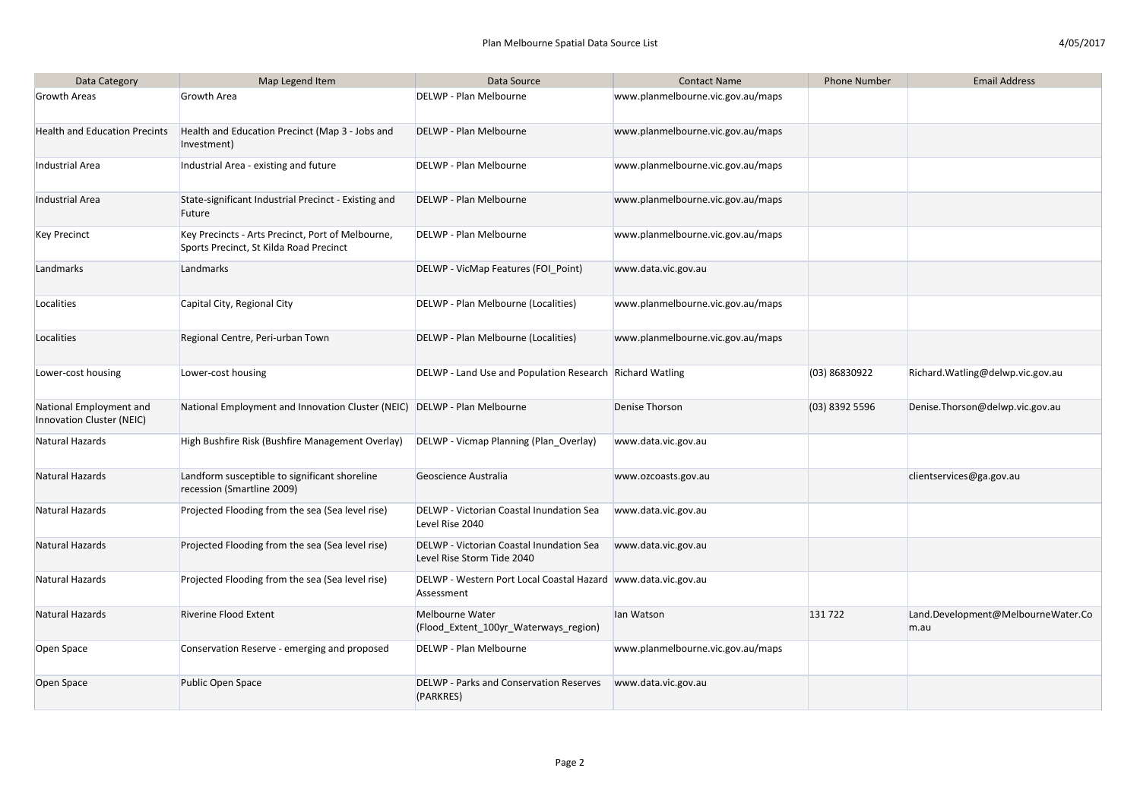| Data Category                                        | Map Legend Item                                                                              | Data Source                                                                   | <b>Contact Name</b>               | <b>Phone Number</b> | <b>Email Address</b>                       |
|------------------------------------------------------|----------------------------------------------------------------------------------------------|-------------------------------------------------------------------------------|-----------------------------------|---------------------|--------------------------------------------|
| <b>Growth Areas</b>                                  | <b>Growth Area</b>                                                                           | DELWP - Plan Melbourne                                                        | www.planmelbourne.vic.gov.au/maps |                     |                                            |
| Health and Education Precints                        | Health and Education Precinct (Map 3 - Jobs and<br>Investment)                               | DELWP - Plan Melbourne                                                        | www.planmelbourne.vic.gov.au/maps |                     |                                            |
| Industrial Area                                      | Industrial Area - existing and future                                                        | DELWP - Plan Melbourne                                                        | www.planmelbourne.vic.gov.au/maps |                     |                                            |
| Industrial Area                                      | State-significant Industrial Precinct - Existing and<br>Future                               | DELWP - Plan Melbourne                                                        | www.planmelbourne.vic.gov.au/maps |                     |                                            |
| Key Precinct                                         | Key Precincts - Arts Precinct, Port of Melbourne,<br>Sports Precinct, St Kilda Road Precinct | DELWP - Plan Melbourne                                                        | www.planmelbourne.vic.gov.au/maps |                     |                                            |
| Landmarks                                            | Landmarks                                                                                    | DELWP - VicMap Features (FOI Point)                                           | www.data.vic.gov.au               |                     |                                            |
| Localities                                           | Capital City, Regional City                                                                  | DELWP - Plan Melbourne (Localities)                                           | www.planmelbourne.vic.gov.au/maps |                     |                                            |
| Localities                                           | Regional Centre, Peri-urban Town                                                             | DELWP - Plan Melbourne (Localities)                                           | www.planmelbourne.vic.gov.au/maps |                     |                                            |
| Lower-cost housing                                   | Lower-cost housing                                                                           | DELWP - Land Use and Population Research Richard Watling                      |                                   | (03) 86830922       | Richard. Watling@delwp.vic.gov.au          |
| National Employment and<br>Innovation Cluster (NEIC) | National Employment and Innovation Cluster (NEIC) DELWP - Plan Melbourne                     |                                                                               | <b>Denise Thorson</b>             | $(03)$ 8392 5596    | Denise.Thorson@delwp.vic.gov.au            |
| Natural Hazards                                      | High Bushfire Risk (Bushfire Management Overlay)                                             | DELWP - Vicmap Planning (Plan Overlay)                                        | www.data.vic.gov.au               |                     |                                            |
| Natural Hazards                                      | Landform susceptible to significant shoreline<br>recession (Smartline 2009)                  | Geoscience Australia                                                          | www.ozcoasts.gov.au               |                     | clientservices@ga.gov.au                   |
| Natural Hazards                                      | Projected Flooding from the sea (Sea level rise)                                             | DELWP - Victorian Coastal Inundation Sea<br>Level Rise 2040                   | www.data.vic.gov.au               |                     |                                            |
| Natural Hazards                                      | Projected Flooding from the sea (Sea level rise)                                             | DELWP - Victorian Coastal Inundation Sea<br>Level Rise Storm Tide 2040        | www.data.vic.gov.au               |                     |                                            |
| Natural Hazards                                      | Projected Flooding from the sea (Sea level rise)                                             | DELWP - Western Port Local Coastal Hazard   www.data.vic.gov.au<br>Assessment |                                   |                     |                                            |
| Natural Hazards                                      | <b>Riverine Flood Extent</b>                                                                 | Melbourne Water<br>(Flood_Extent_100yr_Waterways_region)                      | lan Watson                        | 131722              | Land.Development@MelbourneWater.Co<br>m.au |
| Open Space                                           | Conservation Reserve - emerging and proposed                                                 | DELWP - Plan Melbourne                                                        | www.planmelbourne.vic.gov.au/maps |                     |                                            |
| Open Space                                           | Public Open Space                                                                            | <b>DELWP - Parks and Conservation Reserves</b><br>(PARKRES)                   | www.data.vic.gov.au               |                     |                                            |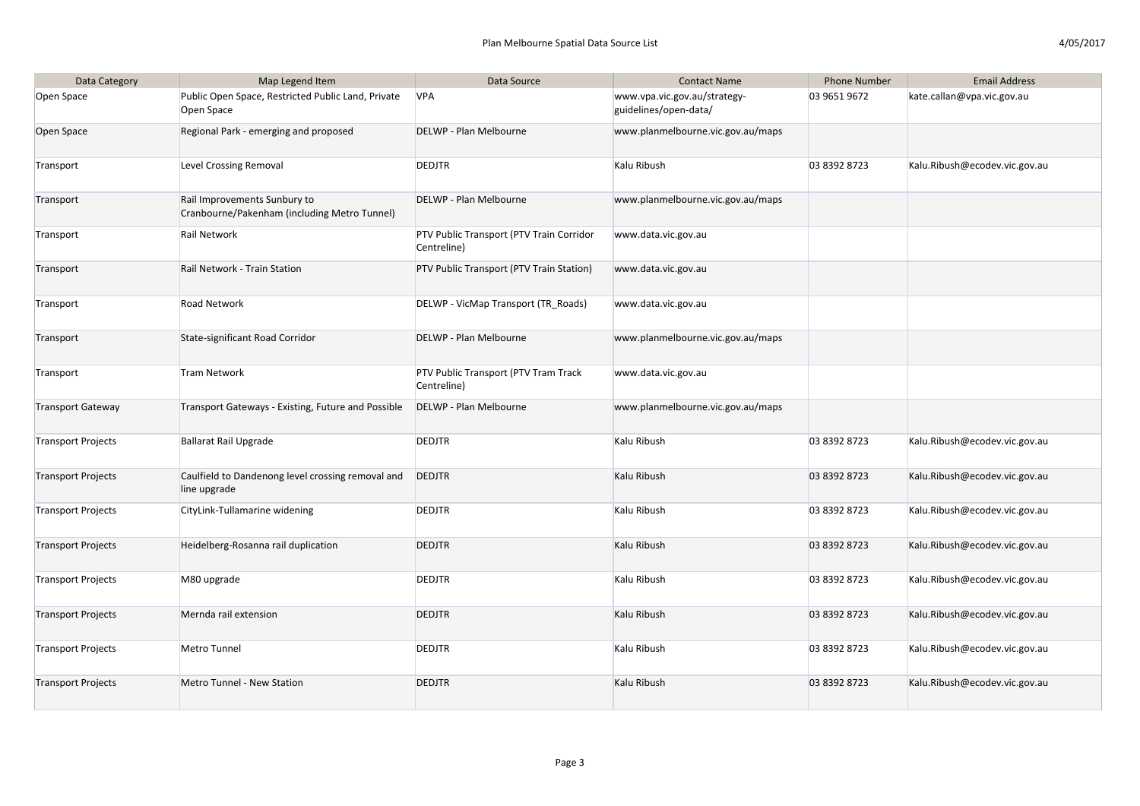| Data Category             | Map Legend Item                                                              | Data Source                                             | <b>Contact Name</b>                                   | <b>Phone Number</b> | <b>Email Address</b>          |
|---------------------------|------------------------------------------------------------------------------|---------------------------------------------------------|-------------------------------------------------------|---------------------|-------------------------------|
| Open Space                | Public Open Space, Restricted Public Land, Private<br>Open Space             | <b>VPA</b>                                              | www.vpa.vic.gov.au/strategy-<br>guidelines/open-data/ | 03 9651 9672        | kate.callan@vpa.vic.gov.au    |
| Open Space                | Regional Park - emerging and proposed                                        | DELWP - Plan Melbourne                                  | www.planmelbourne.vic.gov.au/maps                     |                     |                               |
| Transport                 | Level Crossing Removal                                                       | <b>DEDJTR</b>                                           | Kalu Ribush                                           | 03 8392 8723        | Kalu.Ribush@ecodev.vic.gov.au |
| Transport                 | Rail Improvements Sunbury to<br>Cranbourne/Pakenham (including Metro Tunnel) | DELWP - Plan Melbourne                                  | www.planmelbourne.vic.gov.au/maps                     |                     |                               |
| Transport                 | Rail Network                                                                 | PTV Public Transport (PTV Train Corridor<br>Centreline) | www.data.vic.gov.au                                   |                     |                               |
| Transport                 | Rail Network - Train Station                                                 | PTV Public Transport (PTV Train Station)                | www.data.vic.gov.au                                   |                     |                               |
| Transport                 | <b>Road Network</b>                                                          | DELWP - VicMap Transport (TR_Roads)                     | www.data.vic.gov.au                                   |                     |                               |
| Transport                 | State-significant Road Corridor                                              | DELWP - Plan Melbourne                                  | www.planmelbourne.vic.gov.au/maps                     |                     |                               |
| Transport                 | <b>Tram Network</b>                                                          | PTV Public Transport (PTV Tram Track<br>Centreline)     | www.data.vic.gov.au                                   |                     |                               |
| <b>Transport Gateway</b>  | Transport Gateways - Existing, Future and Possible                           | DELWP - Plan Melbourne                                  | www.planmelbourne.vic.gov.au/maps                     |                     |                               |
| Transport Projects        | <b>Ballarat Rail Upgrade</b>                                                 | <b>DEDJTR</b>                                           | Kalu Ribush                                           | 03 8392 8723        | Kalu.Ribush@ecodev.vic.gov.au |
| Transport Projects        | Caulfield to Dandenong level crossing removal and<br>line upgrade            | <b>DEDJTR</b>                                           | Kalu Ribush                                           | 03 8392 8723        | Kalu.Ribush@ecodev.vic.gov.au |
| <b>Transport Projects</b> | CityLink-Tullamarine widening                                                | <b>DEDJTR</b>                                           | Kalu Ribush                                           | 03 8392 8723        | Kalu.Ribush@ecodev.vic.gov.au |
| Transport Projects        | Heidelberg-Rosanna rail duplication                                          | <b>DEDJTR</b>                                           | Kalu Ribush                                           | 03 8392 8723        | Kalu.Ribush@ecodev.vic.gov.au |
| <b>Transport Projects</b> | M80 upgrade                                                                  | <b>DEDJTR</b>                                           | Kalu Ribush                                           | 03 8392 8723        | Kalu.Ribush@ecodev.vic.gov.au |
| Transport Projects        | Mernda rail extension                                                        | <b>DEDJTR</b>                                           | Kalu Ribush                                           | 03 8392 8723        | Kalu.Ribush@ecodev.vic.gov.au |
| Transport Projects        | Metro Tunnel                                                                 | <b>DEDJTR</b>                                           | Kalu Ribush                                           | 03 8392 8723        | Kalu.Ribush@ecodev.vic.gov.au |
| Transport Projects        | <b>Metro Tunnel - New Station</b>                                            | <b>DEDJTR</b>                                           | Kalu Ribush                                           | 03 8392 8723        | Kalu.Ribush@ecodev.vic.gov.au |